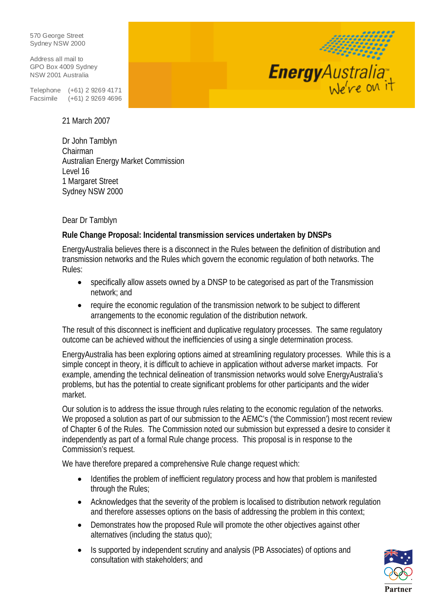570 George Street Sydney NSW 2000

Address all mail to GPO Box 4009 Sydney NSW 2001 Australia

Telephone (+61) 2 9269 4171 Facsimile (+61) 2 9269 4696

21 March 2007

Dr John Tamblyn Chairman Australian Energy Market Commission Level 16 1 Margaret Street Sydney NSW 2000

Dear Dr Tamblyn

#### **Rule Change Proposal: Incidental transmission services undertaken by DNSPs**

EnergyAustralia believes there is a disconnect in the Rules between the definition of distribution and transmission networks and the Rules which govern the economic regulation of both networks. The Rules:

- specifically allow assets owned by a DNSP to be categorised as part of the Transmission network; and
- require the economic regulation of the transmission network to be subject to different arrangements to the economic regulation of the distribution network.

The result of this disconnect is inefficient and duplicative regulatory processes. The same regulatory outcome can be achieved without the inefficiencies of using a single determination process.

EnergyAustralia has been exploring options aimed at streamlining regulatory processes. While this is a simple concept in theory, it is difficult to achieve in application without adverse market impacts. For example, amending the technical delineation of transmission networks would solve EnergyAustralia's problems, but has the potential to create significant problems for other participants and the wider market.

Our solution is to address the issue through rules relating to the economic regulation of the networks. We proposed a solution as part of our submission to the AEMC's ('the Commission') most recent review of Chapter 6 of the Rules. The Commission noted our submission but expressed a desire to consider it independently as part of a formal Rule change process. This proposal is in response to the Commission's request.

We have therefore prepared a comprehensive Rule change request which:

- Identifies the problem of inefficient regulatory process and how that problem is manifested through the Rules;
- Acknowledges that the severity of the problem is localised to distribution network regulation and therefore assesses options on the basis of addressing the problem in this context;
- Demonstrates how the proposed Rule will promote the other objectives against other alternatives (including the status quo);
- Is supported by independent scrutiny and analysis (PB Associates) of options and consultation with stakeholders; and



1999)

Energy Australia<sup>®</sup>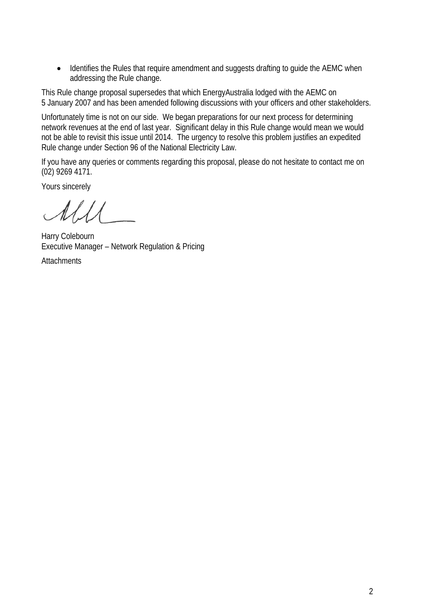• Identifies the Rules that require amendment and suggests drafting to guide the AEMC when addressing the Rule change.

This Rule change proposal supersedes that which EnergyAustralia lodged with the AEMC on 5 January 2007 and has been amended following discussions with your officers and other stakeholders.

Unfortunately time is not on our side. We began preparations for our next process for determining network revenues at the end of last year. Significant delay in this Rule change would mean we would not be able to revisit this issue until 2014. The urgency to resolve this problem justifies an expedited Rule change under Section 96 of the National Electricity Law.

If you have any queries or comments regarding this proposal, please do not hesitate to contact me on (02) 9269 4171.

Yours sincerely

 $\ell \neq \ell$ 

Harry Colebourn Executive Manager – Network Regulation & Pricing

**Attachments**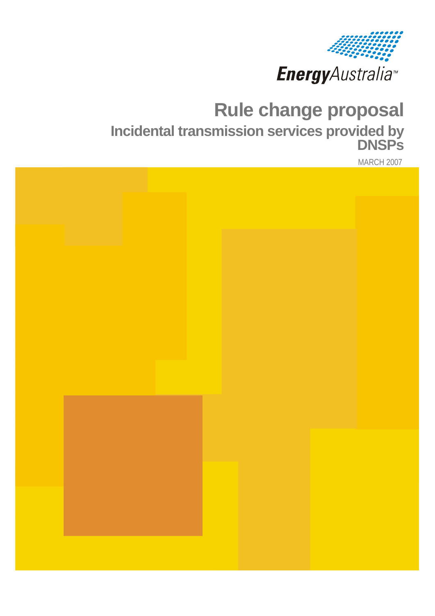

# **Rule change proposal Incidental transmission services provided by DNSPs**

MARCH 2007

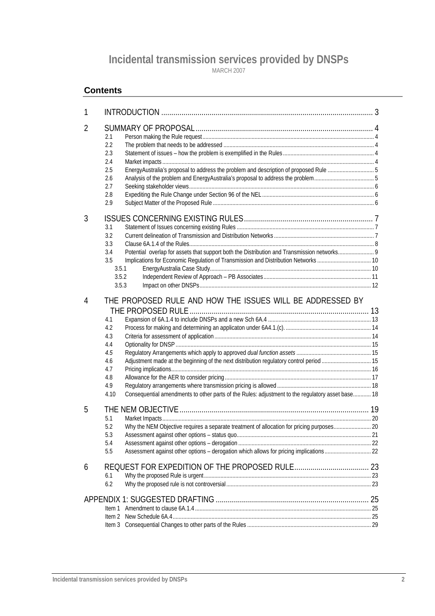# **Incidental transmission services provided by DNSPs**

MARCH 2007

#### **Contents**

| 1 |                                                                                                                                                                                                                                                                                                                                 |  |
|---|---------------------------------------------------------------------------------------------------------------------------------------------------------------------------------------------------------------------------------------------------------------------------------------------------------------------------------|--|
| 2 | 2.1<br>2.2<br>2.3<br>2.4<br>EnergyAustralia's proposal to address the problem and description of proposed Rule 5<br>2.5<br>2.6<br>2.7<br>2.8<br>2.9                                                                                                                                                                             |  |
| 3 | 3.1<br>3.2<br>3.3<br>3.4<br>3.5<br>3.5.1<br>3.5.2<br>3.5.3                                                                                                                                                                                                                                                                      |  |
| 4 | THE PROPOSED RULE AND HOW THE ISSUES WILL BE ADDRESSED BY<br>4.1<br>4.2<br>4.3<br>4.4<br>4.5<br>Adjustment made at the beginning of the next distribution regulatory control period  15<br>4.6<br>4.7<br>4.8<br>4.9<br>Consequential amendments to other parts of the Rules: adjustment to the regulatory asset base 18<br>4.10 |  |
| 5 | 5.1<br>Why the NEM Objective requires a separate treatment of allocation for pricing purposes 20<br>5.2<br>5.3<br>5.4<br>5.5                                                                                                                                                                                                    |  |
| 6 | 6.1<br>6.2                                                                                                                                                                                                                                                                                                                      |  |
|   |                                                                                                                                                                                                                                                                                                                                 |  |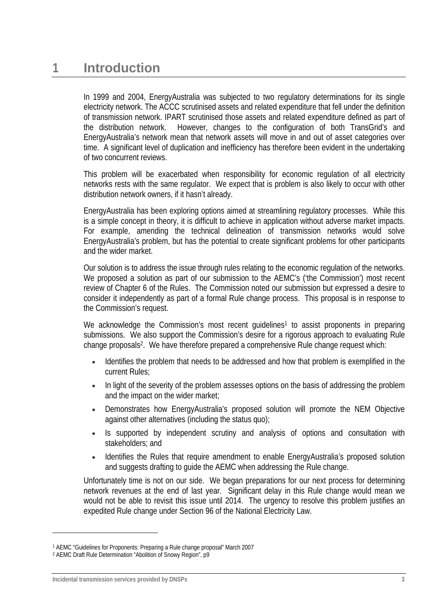In 1999 and 2004, EnergyAustralia was subjected to two regulatory determinations for its single electricity network. The ACCC scrutinised assets and related expenditure that fell under the definition of transmission network. IPART scrutinised those assets and related expenditure defined as part of the distribution network. However, changes to the configuration of both TransGrid's and EnergyAustralia's network mean that network assets will move in and out of asset categories over time. A significant level of duplication and inefficiency has therefore been evident in the undertaking of two concurrent reviews.

This problem will be exacerbated when responsibility for economic regulation of all electricity networks rests with the same regulator. We expect that is problem is also likely to occur with other distribution network owners, if it hasn't already.

EnergyAustralia has been exploring options aimed at streamlining regulatory processes. While this is a simple concept in theory, it is difficult to achieve in application without adverse market impacts. For example, amending the technical delineation of transmission networks would solve EnergyAustralia's problem, but has the potential to create significant problems for other participants and the wider market.

Our solution is to address the issue through rules relating to the economic regulation of the networks. We proposed a solution as part of our submission to the AEMC's ('the Commission') most recent review of Chapter 6 of the Rules. The Commission noted our submission but expressed a desire to consider it independently as part of a formal Rule change process. This proposal is in response to the Commission's request.

We acknowledge the Commission's most recent guidelines<sup>1</sup> to assist proponents in preparing submissions. We also support the Commission's desire for a rigorous approach to evaluating Rule change proposals2. We have therefore prepared a comprehensive Rule change request which:

- Identifies the problem that needs to be addressed and how that problem is exemplified in the current Rules;
- In light of the severity of the problem assesses options on the basis of addressing the problem and the impact on the wider market;
- Demonstrates how EnergyAustralia's proposed solution will promote the NEM Objective against other alternatives (including the status quo);
- Is supported by independent scrutiny and analysis of options and consultation with stakeholders; and
- Identifies the Rules that require amendment to enable EnergyAustralia's proposed solution and suggests drafting to guide the AEMC when addressing the Rule change.

Unfortunately time is not on our side. We began preparations for our next process for determining network revenues at the end of last year. Significant delay in this Rule change would mean we would not be able to revisit this issue until 2014. The urgency to resolve this problem justifies an expedited Rule change under Section 96 of the National Electricity Law.

<sup>1</sup> AEMC "Guidelines for Proponents: Preparing a Rule change proposal" March 2007

<sup>2</sup> AEMC Draft Rule Determination "Abolition of Snowy Region", p9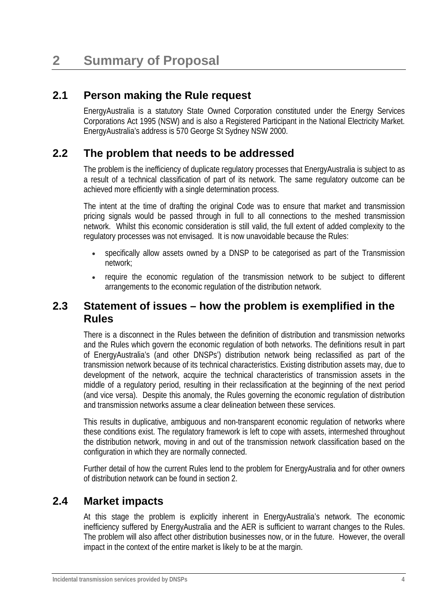# **2.1 Person making the Rule request**

EnergyAustralia is a statutory State Owned Corporation constituted under the Energy Services Corporations Act 1995 (NSW) and is also a Registered Participant in the National Electricity Market. EnergyAustralia's address is 570 George St Sydney NSW 2000.

# **2.2 The problem that needs to be addressed**

The problem is the inefficiency of duplicate regulatory processes that EnergyAustralia is subject to as a result of a technical classification of part of its network. The same regulatory outcome can be achieved more efficiently with a single determination process.

The intent at the time of drafting the original Code was to ensure that market and transmission pricing signals would be passed through in full to all connections to the meshed transmission network. Whilst this economic consideration is still valid, the full extent of added complexity to the regulatory processes was not envisaged. It is now unavoidable because the Rules:

- specifically allow assets owned by a DNSP to be categorised as part of the Transmission network;
- require the economic regulation of the transmission network to be subject to different arrangements to the economic regulation of the distribution network.

## **2.3 Statement of issues – how the problem is exemplified in the Rules**

There is a disconnect in the Rules between the definition of distribution and transmission networks and the Rules which govern the economic regulation of both networks. The definitions result in part of EnergyAustralia's (and other DNSPs') distribution network being reclassified as part of the transmission network because of its technical characteristics. Existing distribution assets may, due to development of the network, acquire the technical characteristics of transmission assets in the middle of a regulatory period, resulting in their reclassification at the beginning of the next period (and vice versa). Despite this anomaly, the Rules governing the economic regulation of distribution and transmission networks assume a clear delineation between these services.

This results in duplicative, ambiguous and non-transparent economic regulation of networks where these conditions exist. The regulatory framework is left to cope with assets, intermeshed throughout the distribution network, moving in and out of the transmission network classification based on the configuration in which they are normally connected.

Further detail of how the current Rules lend to the problem for EnergyAustralia and for other owners of distribution network can be found in section 2.

# **2.4 Market impacts**

At this stage the problem is explicitly inherent in EnergyAustralia's network. The economic inefficiency suffered by EnergyAustralia and the AER is sufficient to warrant changes to the Rules. The problem will also affect other distribution businesses now, or in the future. However, the overall impact in the context of the entire market is likely to be at the margin.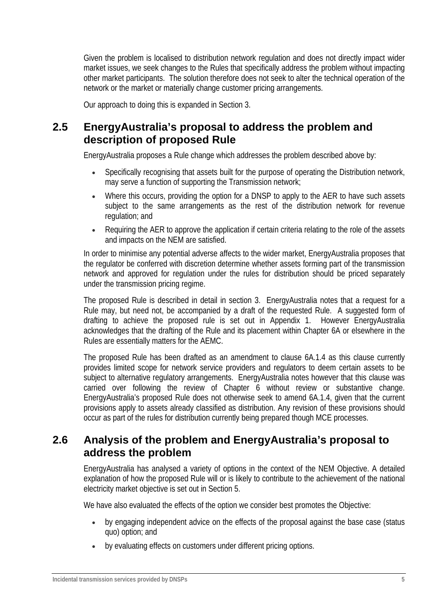Given the problem is localised to distribution network regulation and does not directly impact wider market issues, we seek changes to the Rules that specifically address the problem without impacting other market participants. The solution therefore does not seek to alter the technical operation of the network or the market or materially change customer pricing arrangements.

Our approach to doing this is expanded in Section 3.

# **2.5 EnergyAustralia's proposal to address the problem and description of proposed Rule**

EnergyAustralia proposes a Rule change which addresses the problem described above by:

- Specifically recognising that assets built for the purpose of operating the Distribution network, may serve a function of supporting the Transmission network;
- Where this occurs, providing the option for a DNSP to apply to the AER to have such assets subject to the same arrangements as the rest of the distribution network for revenue regulation; and
- Requiring the AER to approve the application if certain criteria relating to the role of the assets and impacts on the NEM are satisfied.

In order to minimise any potential adverse affects to the wider market, EnergyAustralia proposes that the regulator be conferred with discretion determine whether assets forming part of the transmission network and approved for regulation under the rules for distribution should be priced separately under the transmission pricing regime.

The proposed Rule is described in detail in section 3. EnergyAustralia notes that a request for a Rule may, but need not, be accompanied by a draft of the requested Rule. A suggested form of drafting to achieve the proposed rule is set out in Appendix 1. However EnergyAustralia acknowledges that the drafting of the Rule and its placement within Chapter 6A or elsewhere in the Rules are essentially matters for the AEMC.

The proposed Rule has been drafted as an amendment to clause 6A.1.4 as this clause currently provides limited scope for network service providers and regulators to deem certain assets to be subject to alternative regulatory arrangements. EnergyAustralia notes however that this clause was carried over following the review of Chapter 6 without review or substantive change. EnergyAustralia's proposed Rule does not otherwise seek to amend 6A.1.4, given that the current provisions apply to assets already classified as distribution. Any revision of these provisions should occur as part of the rules for distribution currently being prepared though MCE processes.

# **2.6 Analysis of the problem and EnergyAustralia's proposal to address the problem**

EnergyAustralia has analysed a variety of options in the context of the NEM Objective. A detailed explanation of how the proposed Rule will or is likely to contribute to the achievement of the national electricity market objective is set out in Section 5.

We have also evaluated the effects of the option we consider best promotes the Objective:

- by engaging independent advice on the effects of the proposal against the base case (status quo) option; and
- by evaluating effects on customers under different pricing options.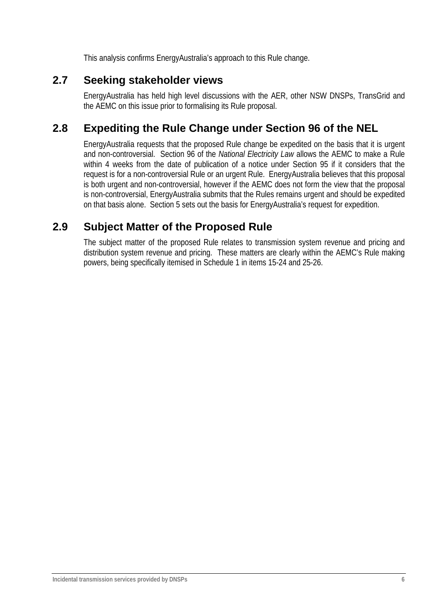This analysis confirms EnergyAustralia's approach to this Rule change.

# **2.7 Seeking stakeholder views**

EnergyAustralia has held high level discussions with the AER, other NSW DNSPs, TransGrid and the AEMC on this issue prior to formalising its Rule proposal.

# **2.8 Expediting the Rule Change under Section 96 of the NEL**

EnergyAustralia requests that the proposed Rule change be expedited on the basis that it is urgent and non-controversial. Section 96 of the *National Electricity Law* allows the AEMC to make a Rule within 4 weeks from the date of publication of a notice under Section 95 if it considers that the request is for a non-controversial Rule or an urgent Rule. EnergyAustralia believes that this proposal is both urgent and non-controversial, however if the AEMC does not form the view that the proposal is non-controversial, EnergyAustralia submits that the Rules remains urgent and should be expedited on that basis alone. Section 5 sets out the basis for EnergyAustralia's request for expedition.

# **2.9 Subject Matter of the Proposed Rule**

The subject matter of the proposed Rule relates to transmission system revenue and pricing and distribution system revenue and pricing. These matters are clearly within the AEMC's Rule making powers, being specifically itemised in Schedule 1 in items 15-24 and 25-26.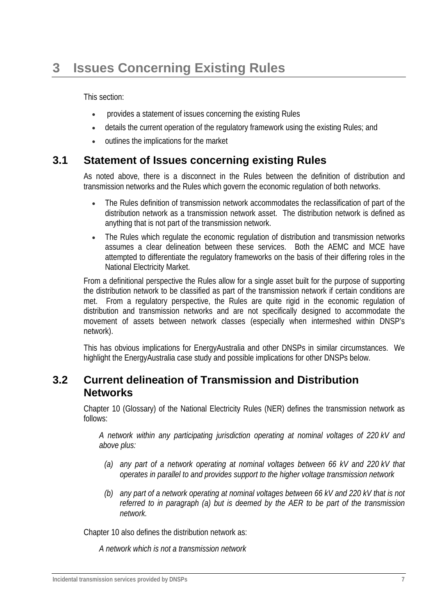# **3 Issues Concerning Existing Rules**

This section:

- provides a statement of issues concerning the existing Rules
- details the current operation of the regulatory framework using the existing Rules; and
- outlines the implications for the market

### **3.1 Statement of Issues concerning existing Rules**

As noted above, there is a disconnect in the Rules between the definition of distribution and transmission networks and the Rules which govern the economic regulation of both networks.

- The Rules definition of transmission network accommodates the reclassification of part of the distribution network as a transmission network asset. The distribution network is defined as anything that is not part of the transmission network.
- The Rules which regulate the economic regulation of distribution and transmission networks assumes a clear delineation between these services. Both the AEMC and MCE have attempted to differentiate the regulatory frameworks on the basis of their differing roles in the National Electricity Market.

From a definitional perspective the Rules allow for a single asset built for the purpose of supporting the distribution network to be classified as part of the transmission network if certain conditions are met. From a regulatory perspective, the Rules are quite rigid in the economic regulation of distribution and transmission networks and are not specifically designed to accommodate the movement of assets between network classes (especially when intermeshed within DNSP's network).

This has obvious implications for EnergyAustralia and other DNSPs in similar circumstances. We highlight the EnergyAustralia case study and possible implications for other DNSPs below.

#### **3.2 Current delineation of Transmission and Distribution Networks**

Chapter 10 (Glossary) of the National Electricity Rules (NER) defines the transmission network as follows:

*A network within any participating jurisdiction operating at nominal voltages of 220 kV and above plus:* 

- *(a) any part of a network operating at nominal voltages between 66 kV and 220 kV that operates in parallel to and provides support to the higher voltage transmission network*
- *(b) any part of a network operating at nominal voltages between 66 kV and 220 kV that is not referred to in paragraph (a) but is deemed by the AER to be part of the transmission network.*

Chapter 10 also defines the distribution network as:

*A network which is not a transmission network*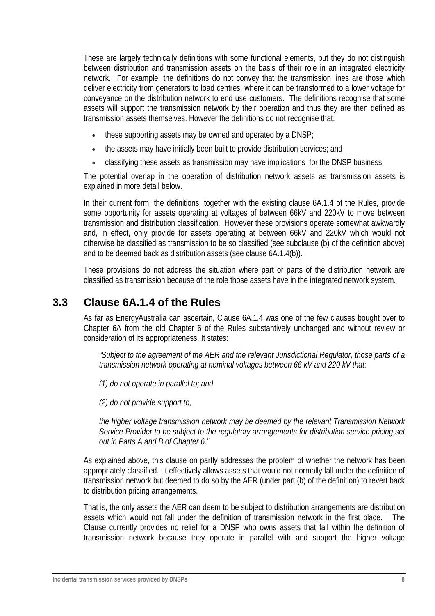These are largely technically definitions with some functional elements, but they do not distinguish between distribution and transmission assets on the basis of their role in an integrated electricity network. For example, the definitions do not convey that the transmission lines are those which deliver electricity from generators to load centres, where it can be transformed to a lower voltage for conveyance on the distribution network to end use customers. The definitions recognise that some assets will support the transmission network by their operation and thus they are then defined as transmission assets themselves. However the definitions do not recognise that:

- these supporting assets may be owned and operated by a DNSP;
- the assets may have initially been built to provide distribution services; and
- classifying these assets as transmission may have implications for the DNSP business.

The potential overlap in the operation of distribution network assets as transmission assets is explained in more detail below.

In their current form, the definitions, together with the existing clause 6A.1.4 of the Rules, provide some opportunity for assets operating at voltages of between 66kV and 220kV to move between transmission and distribution classification. However these provisions operate somewhat awkwardly and, in effect, only provide for assets operating at between 66kV and 220kV which would not otherwise be classified as transmission to be so classified (see subclause (b) of the definition above) and to be deemed back as distribution assets (see clause 6A.1.4(b)).

These provisions do not address the situation where part or parts of the distribution network are classified as transmission because of the role those assets have in the integrated network system.

## **3.3 Clause 6A.1.4 of the Rules**

As far as EnergyAustralia can ascertain, Clause 6A.1.4 was one of the few clauses bought over to Chapter 6A from the old Chapter 6 of the Rules substantively unchanged and without review or consideration of its appropriateness. It states:

*"Subject to the agreement of the AER and the relevant Jurisdictional Regulator, those parts of a transmission network operating at nominal voltages between 66 kV and 220 kV that:* 

*(1) do not operate in parallel to; and* 

*(2) do not provide support to,* 

*the higher voltage transmission network may be deemed by the relevant Transmission Network Service Provider to be subject to the regulatory arrangements for distribution service pricing set out in Parts A and B of Chapter 6."* 

As explained above, this clause on partly addresses the problem of whether the network has been appropriately classified. It effectively allows assets that would not normally fall under the definition of transmission network but deemed to do so by the AER (under part (b) of the definition) to revert back to distribution pricing arrangements.

That is, the only assets the AER can deem to be subject to distribution arrangements are distribution assets which would not fall under the definition of transmission network in the first place. The Clause currently provides no relief for a DNSP who owns assets that fall within the definition of transmission network because they operate in parallel with and support the higher voltage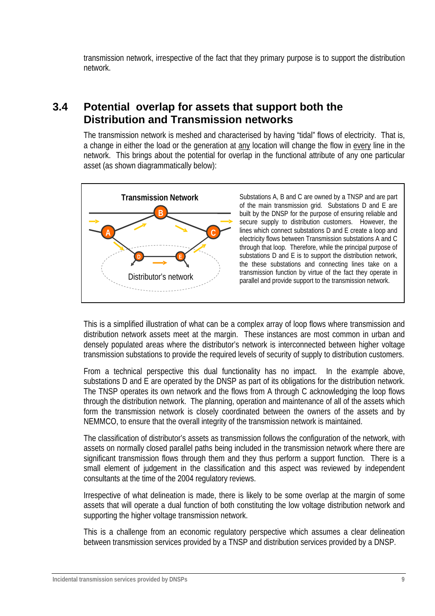transmission network, irrespective of the fact that they primary purpose is to support the distribution network.

## **3.4 Potential overlap for assets that support both the Distribution and Transmission networks**

The transmission network is meshed and characterised by having "tidal" flows of electricity. That is, a change in either the load or the generation at any location will change the flow in every line in the network. This brings about the potential for overlap in the functional attribute of any one particular asset (as shown diagrammatically below):



This is a simplified illustration of what can be a complex array of loop flows where transmission and distribution network assets meet at the margin. These instances are most common in urban and densely populated areas where the distributor's network is interconnected between higher voltage transmission substations to provide the required levels of security of supply to distribution customers.

From a technical perspective this dual functionality has no impact. In the example above, substations D and E are operated by the DNSP as part of its obligations for the distribution network. The TNSP operates its own network and the flows from A through C acknowledging the loop flows through the distribution network. The planning, operation and maintenance of all of the assets which form the transmission network is closely coordinated between the owners of the assets and by NEMMCO, to ensure that the overall integrity of the transmission network is maintained.

The classification of distributor's assets as transmission follows the configuration of the network, with assets on normally closed parallel paths being included in the transmission network where there are significant transmission flows through them and they thus perform a support function. There is a small element of judgement in the classification and this aspect was reviewed by independent consultants at the time of the 2004 regulatory reviews.

Irrespective of what delineation is made, there is likely to be some overlap at the margin of some assets that will operate a dual function of both constituting the low voltage distribution network and supporting the higher voltage transmission network.

This is a challenge from an economic regulatory perspective which assumes a clear delineation between transmission services provided by a TNSP and distribution services provided by a DNSP.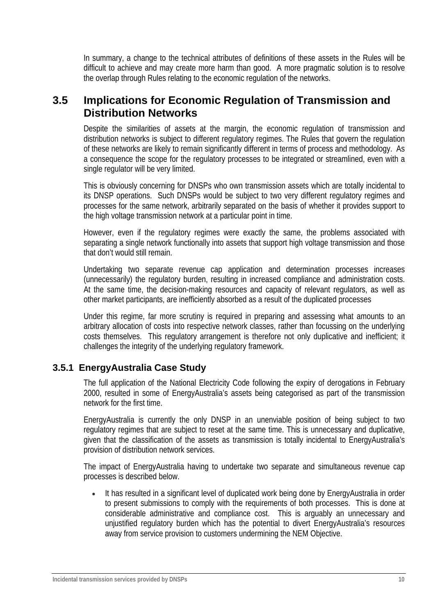In summary, a change to the technical attributes of definitions of these assets in the Rules will be difficult to achieve and may create more harm than good. A more pragmatic solution is to resolve the overlap through Rules relating to the economic regulation of the networks.

## **3.5 Implications for Economic Regulation of Transmission and Distribution Networks**

Despite the similarities of assets at the margin, the economic regulation of transmission and distribution networks is subject to different regulatory regimes. The Rules that govern the regulation of these networks are likely to remain significantly different in terms of process and methodology. As a consequence the scope for the regulatory processes to be integrated or streamlined, even with a single regulator will be very limited.

This is obviously concerning for DNSPs who own transmission assets which are totally incidental to its DNSP operations. Such DNSPs would be subject to two very different regulatory regimes and processes for the same network, arbitrarily separated on the basis of whether it provides support to the high voltage transmission network at a particular point in time.

However, even if the regulatory regimes were exactly the same, the problems associated with separating a single network functionally into assets that support high voltage transmission and those that don't would still remain.

Undertaking two separate revenue cap application and determination processes increases (unnecessarily) the regulatory burden, resulting in increased compliance and administration costs. At the same time, the decision-making resources and capacity of relevant regulators, as well as other market participants, are inefficiently absorbed as a result of the duplicated processes

Under this regime, far more scrutiny is required in preparing and assessing what amounts to an arbitrary allocation of costs into respective network classes, rather than focussing on the underlying costs themselves. This regulatory arrangement is therefore not only duplicative and inefficient; it challenges the integrity of the underlying regulatory framework.

#### **3.5.1 EnergyAustralia Case Study**

The full application of the National Electricity Code following the expiry of derogations in February 2000, resulted in some of EnergyAustralia's assets being categorised as part of the transmission network for the first time.

EnergyAustralia is currently the only DNSP in an unenviable position of being subject to two regulatory regimes that are subject to reset at the same time. This is unnecessary and duplicative, given that the classification of the assets as transmission is totally incidental to EnergyAustralia's provision of distribution network services.

The impact of EnergyAustralia having to undertake two separate and simultaneous revenue cap processes is described below.

• It has resulted in a significant level of duplicated work being done by EnergyAustralia in order to present submissions to comply with the requirements of both processes. This is done at considerable administrative and compliance cost. This is arguably an unnecessary and unjustified regulatory burden which has the potential to divert EnergyAustralia's resources away from service provision to customers undermining the NEM Objective.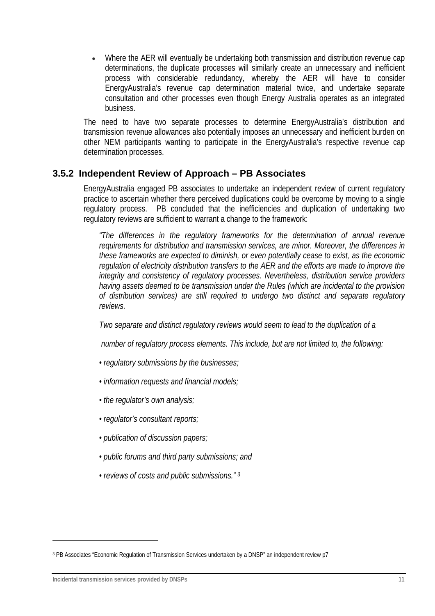• Where the AER will eventually be undertaking both transmission and distribution revenue cap determinations, the duplicate processes will similarly create an unnecessary and inefficient process with considerable redundancy, whereby the AER will have to consider EnergyAustralia's revenue cap determination material twice, and undertake separate consultation and other processes even though Energy Australia operates as an integrated business.

The need to have two separate processes to determine EnergyAustralia's distribution and transmission revenue allowances also potentially imposes an unnecessary and inefficient burden on other NEM participants wanting to participate in the EnergyAustralia's respective revenue cap determination processes.

#### **3.5.2 Independent Review of Approach – PB Associates**

EnergyAustralia engaged PB associates to undertake an independent review of current regulatory practice to ascertain whether there perceived duplications could be overcome by moving to a single regulatory process. PB concluded that the inefficiencies and duplication of undertaking two regulatory reviews are sufficient to warrant a change to the framework:

*"The differences in the regulatory frameworks for the determination of annual revenue requirements for distribution and transmission services, are minor. Moreover, the differences in these frameworks are expected to diminish, or even potentially cease to exist, as the economic regulation of electricity distribution transfers to the AER and the efforts are made to improve the integrity and consistency of regulatory processes. Nevertheless, distribution service providers having assets deemed to be transmission under the Rules (which are incidental to the provision of distribution services) are still required to undergo two distinct and separate regulatory reviews.* 

*Two separate and distinct regulatory reviews would seem to lead to the duplication of a* 

 *number of regulatory process elements. This include, but are not limited to, the following:* 

- *regulatory submissions by the businesses;*
- *information requests and financial models;*
- *the regulator's own analysis;*
- *regulator's consultant reports;*
- *publication of discussion papers;*
- *public forums and third party submissions; and*
- *reviews of costs and public submissions." 3*

<sup>3</sup> PB Associates "Economic Regulation of Transmission Services undertaken by a DNSP" an independent review p7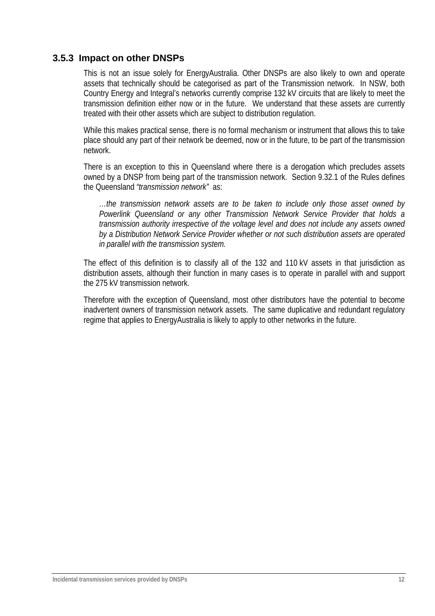#### **3.5.3 Impact on other DNSPs**

This is not an issue solely for EnergyAustralia. Other DNSPs are also likely to own and operate assets that technically should be categorised as part of the Transmission network. In NSW, both Country Energy and Integral's networks currently comprise 132 kV circuits that are likely to meet the transmission definition either now or in the future. We understand that these assets are currently treated with their other assets which are subject to distribution regulation.

While this makes practical sense, there is no formal mechanism or instrument that allows this to take place should any part of their network be deemed, now or in the future, to be part of the transmission network.

There is an exception to this in Queensland where there is a derogation which precludes assets owned by a DNSP from being part of the transmission network. Section 9.32.1 of the Rules defines the Queensland *"transmission network"* as:

*…the transmission network assets are to be taken to include only those asset owned by Powerlink Queensland or any other Transmission Network Service Provider that holds a transmission authority irrespective of the voltage level and does not include any assets owned by a Distribution Network Service Provider whether or not such distribution assets are operated in parallel with the transmission system.* 

The effect of this definition is to classify all of the 132 and 110 kV assets in that jurisdiction as distribution assets, although their function in many cases is to operate in parallel with and support the 275 kV transmission network.

Therefore with the exception of Queensland, most other distributors have the potential to become inadvertent owners of transmission network assets. The same duplicative and redundant regulatory regime that applies to EnergyAustralia is likely to apply to other networks in the future.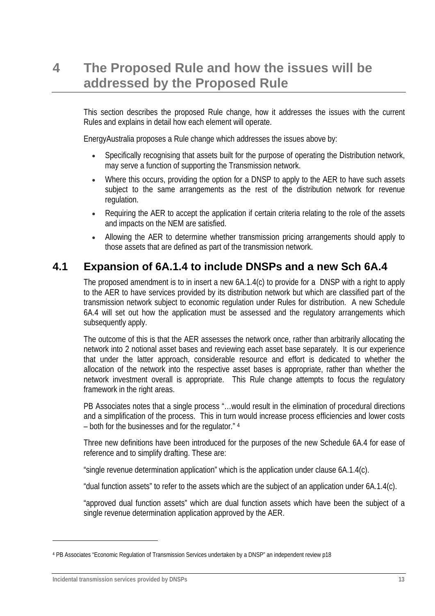# **4 The Proposed Rule and how the issues will be addressed by the Proposed Rule**

This section describes the proposed Rule change, how it addresses the issues with the current Rules and explains in detail how each element will operate.

EnergyAustralia proposes a Rule change which addresses the issues above by:

- Specifically recognising that assets built for the purpose of operating the Distribution network, may serve a function of supporting the Transmission network.
- Where this occurs, providing the option for a DNSP to apply to the AER to have such assets subject to the same arrangements as the rest of the distribution network for revenue regulation.
- Requiring the AER to accept the application if certain criteria relating to the role of the assets and impacts on the NEM are satisfied.
- Allowing the AER to determine whether transmission pricing arrangements should apply to those assets that are defined as part of the transmission network.

## **4.1 Expansion of 6A.1.4 to include DNSPs and a new Sch 6A.4**

The proposed amendment is to in insert a new 6A.1.4(c) to provide for a DNSP with a right to apply to the AER to have services provided by its distribution network but which are classified part of the transmission network subject to economic regulation under Rules for distribution. A new Schedule 6A.4 will set out how the application must be assessed and the regulatory arrangements which subsequently apply.

The outcome of this is that the AER assesses the network once, rather than arbitrarily allocating the network into 2 notional asset bases and reviewing each asset base separately. It is our experience that under the latter approach, considerable resource and effort is dedicated to whether the allocation of the network into the respective asset bases is appropriate, rather than whether the network investment overall is appropriate. This Rule change attempts to focus the regulatory framework in the right areas.

PB Associates notes that a single process "... would result in the elimination of procedural directions and a simplification of the process. This in turn would increase process efficiencies and lower costs – both for the businesses and for the regulator." 4

Three new definitions have been introduced for the purposes of the new Schedule 6A.4 for ease of reference and to simplify drafting. These are:

"single revenue determination application" which is the application under clause 6A.1.4(c).

"dual function assets" to refer to the assets which are the subject of an application under 6A.1.4(c).

"approved dual function assets" which are dual function assets which have been the subject of a single revenue determination application approved by the AER.

<sup>4</sup> PB Associates "Economic Regulation of Transmission Services undertaken by a DNSP" an independent review p18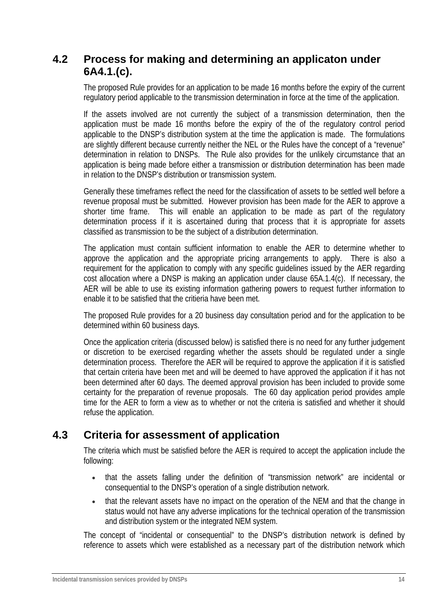# **4.2 Process for making and determining an applicaton under 6A4.1.(c).**

The proposed Rule provides for an application to be made 16 months before the expiry of the current regulatory period applicable to the transmission determination in force at the time of the application.

If the assets involved are not currently the subject of a transmission determination, then the application must be made 16 months before the expiry of the of the regulatory control period applicable to the DNSP's distribution system at the time the application is made. The formulations are slightly different because currently neither the NEL or the Rules have the concept of a "revenue" determination in relation to DNSPs. The Rule also provides for the unlikely circumstance that an application is being made before either a transmission or distribution determination has been made in relation to the DNSP's distribution or transmission system.

Generally these timeframes reflect the need for the classification of assets to be settled well before a revenue proposal must be submitted. However provision has been made for the AER to approve a shorter time frame. This will enable an application to be made as part of the regulatory determination process if it is ascertained during that process that it is appropriate for assets classified as transmission to be the subject of a distribution determination.

The application must contain sufficient information to enable the AER to determine whether to approve the application and the appropriate pricing arrangements to apply. There is also a requirement for the application to comply with any specific guidelines issued by the AER regarding cost allocation where a DNSP is making an application under clause 65A.1.4(c). If necessary, the AER will be able to use its existing information gathering powers to request further information to enable it to be satisfied that the critieria have been met.

The proposed Rule provides for a 20 business day consultation period and for the application to be determined within 60 business days.

Once the application criteria (discussed below) is satisfied there is no need for any further judgement or discretion to be exercised regarding whether the assets should be regulated under a single determination process. Therefore the AER will be required to approve the application if it is satisfied that certain criteria have been met and will be deemed to have approved the application if it has not been determined after 60 days. The deemed approval provision has been included to provide some certainty for the preparation of revenue proposals. The 60 day application period provides ample time for the AER to form a view as to whether or not the criteria is satisfied and whether it should refuse the application.

## **4.3 Criteria for assessment of application**

The criteria which must be satisfied before the AER is required to accept the application include the following:

- that the assets falling under the definition of "transmission network" are incidental or consequential to the DNSP's operation of a single distribution network.
- that the relevant assets have no impact on the operation of the NEM and that the change in status would not have any adverse implications for the technical operation of the transmission and distribution system or the integrated NEM system.

The concept of "incidental or consequential" to the DNSP's distribution network is defined by reference to assets which were established as a necessary part of the distribution network which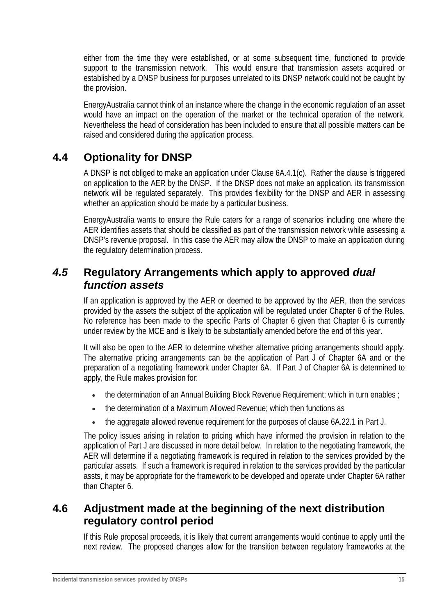either from the time they were established, or at some subsequent time, functioned to provide support to the transmission network. This would ensure that transmission assets acquired or established by a DNSP business for purposes unrelated to its DNSP network could not be caught by the provision.

EnergyAustralia cannot think of an instance where the change in the economic regulation of an asset would have an impact on the operation of the market or the technical operation of the network. Nevertheless the head of consideration has been included to ensure that all possible matters can be raised and considered during the application process.

# **4.4 Optionality for DNSP**

A DNSP is not obliged to make an application under Clause 6A.4.1(c). Rather the clause is triggered on application to the AER by the DNSP. If the DNSP does not make an application, its transmission network will be regulated separately. This provides flexibility for the DNSP and AER in assessing whether an application should be made by a particular business.

EnergyAustralia wants to ensure the Rule caters for a range of scenarios including one where the AER identifies assets that should be classified as part of the transmission network while assessing a DNSP's revenue proposal. In this case the AER may allow the DNSP to make an application during the regulatory determination process.

## *4.5* **Regulatory Arrangements which apply to approved** *dual function assets*

If an application is approved by the AER or deemed to be approved by the AER, then the services provided by the assets the subject of the application will be regulated under Chapter 6 of the Rules. No reference has been made to the specific Parts of Chapter 6 given that Chapter 6 is currently under review by the MCE and is likely to be substantially amended before the end of this year.

It will also be open to the AER to determine whether alternative pricing arrangements should apply. The alternative pricing arrangements can be the application of Part J of Chapter 6A and or the preparation of a negotiating framework under Chapter 6A. If Part J of Chapter 6A is determined to apply, the Rule makes provision for:

- the determination of an Annual Building Block Revenue Requirement; which in turn enables ;
- the determination of a Maximum Allowed Revenue; which then functions as
- the aggregate allowed revenue requirement for the purposes of clause 6A.22.1 in Part J.

The policy issues arising in relation to pricing which have informed the provision in relation to the application of Part J are discussed in more detail below. In relation to the negotiating framework, the AER will determine if a negotiating framework is required in relation to the services provided by the particular assets. If such a framework is required in relation to the services provided by the particular assts, it may be appropriate for the framework to be developed and operate under Chapter 6A rather than Chapter 6.

## **4.6 Adjustment made at the beginning of the next distribution regulatory control period**

If this Rule proposal proceeds, it is likely that current arrangements would continue to apply until the next review. The proposed changes allow for the transition between regulatory frameworks at the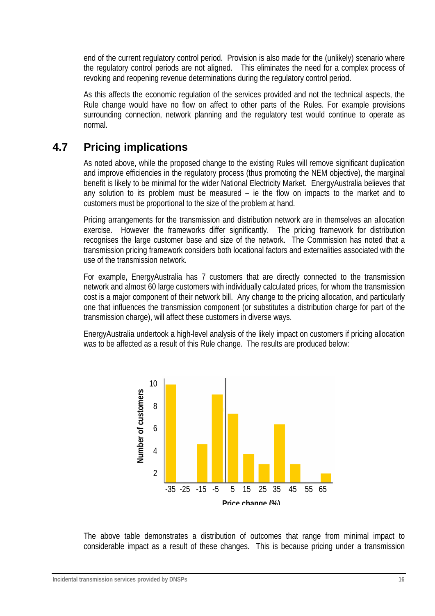end of the current regulatory control period. Provision is also made for the (unlikely) scenario where the regulatory control periods are not aligned. This eliminates the need for a complex process of revoking and reopening revenue determinations during the regulatory control period.

As this affects the economic regulation of the services provided and not the technical aspects, the Rule change would have no flow on affect to other parts of the Rules. For example provisions surrounding connection, network planning and the regulatory test would continue to operate as normal.

# **4.7 Pricing implications**

As noted above, while the proposed change to the existing Rules will remove significant duplication and improve efficiencies in the regulatory process (thus promoting the NEM objective), the marginal benefit is likely to be minimal for the wider National Electricity Market. EnergyAustralia believes that any solution to its problem must be measured – ie the flow on impacts to the market and to customers must be proportional to the size of the problem at hand.

Pricing arrangements for the transmission and distribution network are in themselves an allocation exercise. However the frameworks differ significantly. The pricing framework for distribution recognises the large customer base and size of the network. The Commission has noted that a transmission pricing framework considers both locational factors and externalities associated with the use of the transmission network.

For example, EnergyAustralia has 7 customers that are directly connected to the transmission network and almost 60 large customers with individually calculated prices, for whom the transmission cost is a major component of their network bill. Any change to the pricing allocation, and particularly one that influences the transmission component (or substitutes a distribution charge for part of the transmission charge), will affect these customers in diverse ways.

EnergyAustralia undertook a high-level analysis of the likely impact on customers if pricing allocation was to be affected as a result of this Rule change. The results are produced below:



The above table demonstrates a distribution of outcomes that range from minimal impact to considerable impact as a result of these changes. This is because pricing under a transmission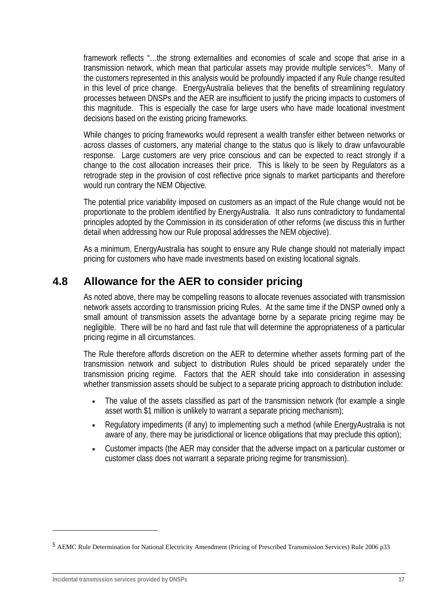framework reflects "…the strong externalities and economies of scale and scope that arise in a transmission network, which mean that particular assets may provide multiple services"5. Many of the customers represented in this analysis would be profoundly impacted if any Rule change resulted in this level of price change. EnergyAustralia believes that the benefits of streamlining regulatory processes between DNSPs and the AER are insufficient to justify the pricing impacts to customers of this magnitude. This is especially the case for large users who have made locational investment decisions based on the existing pricing frameworks.

While changes to pricing frameworks would represent a wealth transfer either between networks or across classes of customers, any material change to the status quo is likely to draw unfavourable response. Large customers are very price conscious and can be expected to react strongly if a change to the cost allocation increases their price. This is likely to be seen by Regulators as a retrograde step in the provision of cost reflective price signals to market participants and therefore would run contrary the NEM Objective.

The potential price variability imposed on customers as an impact of the Rule change would not be proportionate to the problem identified by EnergyAustralia. It also runs contradictory to fundamental principles adopted by the Commission in its consideration of other reforms (we discuss this in further detail when addressing how our Rule proposal addresses the NEM objective).

As a minimum, EnergyAustralia has sought to ensure any Rule change should not materially impact pricing for customers who have made investments based on existing locational signals.

# **4.8 Allowance for the AER to consider pricing**

As noted above, there may be compelling reasons to allocate revenues associated with transmission network assets according to transmission pricing Rules. At the same time if the DNSP owned only a small amount of transmission assets the advantage borne by a separate pricing regime may be negligible. There will be no hard and fast rule that will determine the appropriateness of a particular pricing regime in all circumstances.

The Rule therefore affords discretion on the AER to determine whether assets forming part of the transmission network and subject to distribution Rules should be priced separately under the transmission pricing regime. Factors that the AER should take into consideration in assessing whether transmission assets should be subject to a separate pricing approach to distribution include:

- The value of the assets classified as part of the transmission network (for example a single asset worth \$1 million is unlikely to warrant a separate pricing mechanism);
- Regulatory impediments (if any) to implementing such a method (while EnergyAustralia is not aware of any, there may be jurisdictional or licence obligations that may preclude this option);
- Customer impacts (the AER may consider that the adverse impact on a particular customer or customer class does not warrant a separate pricing regime for transmission).

<sup>5</sup> AEMC Rule Determination for National Electricity Amendment (Pricing of Prescribed Transmission Services) Rule 2006 p33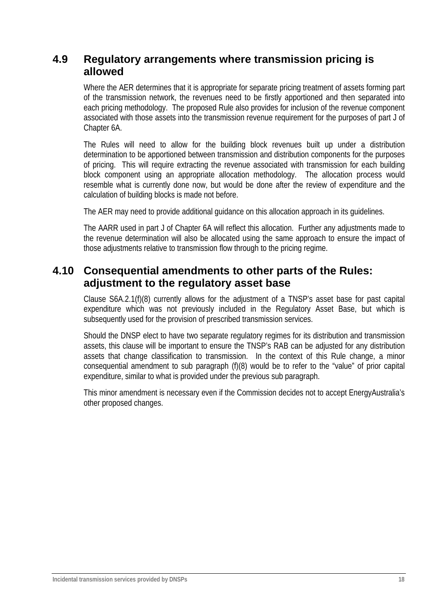### **4.9 Regulatory arrangements where transmission pricing is allowed**

Where the AER determines that it is appropriate for separate pricing treatment of assets forming part of the transmission network, the revenues need to be firstly apportioned and then separated into each pricing methodology. The proposed Rule also provides for inclusion of the revenue component associated with those assets into the transmission revenue requirement for the purposes of part J of Chapter 6A.

The Rules will need to allow for the building block revenues built up under a distribution determination to be apportioned between transmission and distribution components for the purposes of pricing. This will require extracting the revenue associated with transmission for each building block component using an appropriate allocation methodology. The allocation process would resemble what is currently done now, but would be done after the review of expenditure and the calculation of building blocks is made not before.

The AER may need to provide additional guidance on this allocation approach in its guidelines.

The AARR used in part J of Chapter 6A will reflect this allocation. Further any adjustments made to the revenue determination will also be allocated using the same approach to ensure the impact of those adjustments relative to transmission flow through to the pricing regime.

## **4.10 Consequential amendments to other parts of the Rules: adjustment to the regulatory asset base**

Clause S6A.2.1(f)(8) currently allows for the adjustment of a TNSP's asset base for past capital expenditure which was not previously included in the Regulatory Asset Base, but which is subsequently used for the provision of prescribed transmission services.

Should the DNSP elect to have two separate regulatory regimes for its distribution and transmission assets, this clause will be important to ensure the TNSP's RAB can be adjusted for any distribution assets that change classification to transmission. In the context of this Rule change, a minor consequential amendment to sub paragraph (f)(8) would be to refer to the "value" of prior capital expenditure, similar to what is provided under the previous sub paragraph.

This minor amendment is necessary even if the Commission decides not to accept EnergyAustralia's other proposed changes.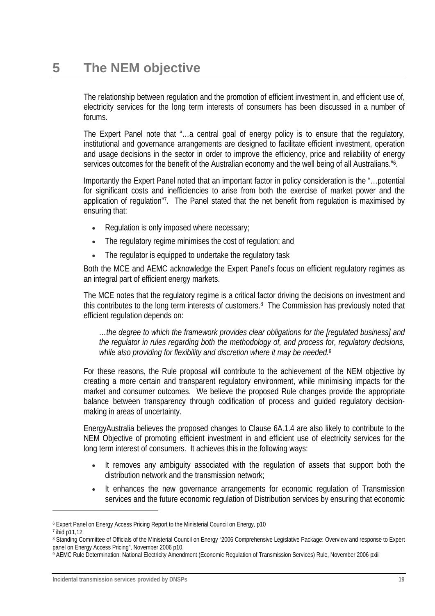The relationship between regulation and the promotion of efficient investment in, and efficient use of, electricity services for the long term interests of consumers has been discussed in a number of forums.

The Expert Panel note that "…a central goal of energy policy is to ensure that the regulatory, institutional and governance arrangements are designed to facilitate efficient investment, operation and usage decisions in the sector in order to improve the efficiency, price and reliability of energy services outcomes for the benefit of the Australian economy and the well being of all Australians."6.

Importantly the Expert Panel noted that an important factor in policy consideration is the "…potential for significant costs and inefficiencies to arise from both the exercise of market power and the application of regulation"7. The Panel stated that the net benefit from regulation is maximised by ensuring that:

- Regulation is only imposed where necessary;
- The regulatory regime minimises the cost of regulation; and
- The regulator is equipped to undertake the regulatory task

Both the MCE and AEMC acknowledge the Expert Panel's focus on efficient regulatory regimes as an integral part of efficient energy markets.

The MCE notes that the regulatory regime is a critical factor driving the decisions on investment and this contributes to the long term interests of customers.8 The Commission has previously noted that efficient regulation depends on:

*…the degree to which the framework provides clear obligations for the [regulated business] and the regulator in rules regarding both the methodology of, and process for, regulatory decisions, while also providing for flexibility and discretion where it may be needed.*<sup>9</sup>

For these reasons, the Rule proposal will contribute to the achievement of the NEM objective by creating a more certain and transparent regulatory environment, while minimising impacts for the market and consumer outcomes. We believe the proposed Rule changes provide the appropriate balance between transparency through codification of process and guided regulatory decisionmaking in areas of uncertainty.

EnergyAustralia believes the proposed changes to Clause 6A.1.4 are also likely to contribute to the NEM Objective of promoting efficient investment in and efficient use of electricity services for the long term interest of consumers. It achieves this in the following ways:

- It removes any ambiguity associated with the regulation of assets that support both the distribution network and the transmission network;
- It enhances the new governance arrangements for economic regulation of Transmission services and the future economic regulation of Distribution services by ensuring that economic

<sup>6</sup> Expert Panel on Energy Access Pricing Report to the Ministerial Council on Energy, p10

<sup>7</sup> ibid p11,12

<sup>8</sup> Standing Committee of Officials of the Ministerial Council on Energy "2006 Comprehensive Legislative Package: Overview and response to Expert panel on Energy Access Pricing", November 2006 p10.

<sup>9</sup> AEMC Rule Determination: National Electricity Amendment (Economic Regulation of Transmission Services) Rule, November 2006 pxiii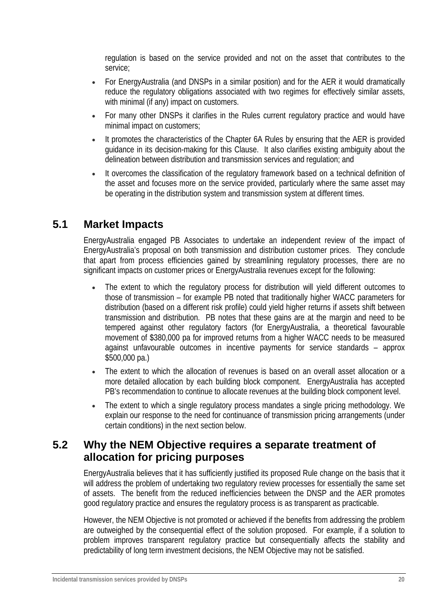regulation is based on the service provided and not on the asset that contributes to the service;

- For EnergyAustralia (and DNSPs in a similar position) and for the AER it would dramatically reduce the regulatory obligations associated with two regimes for effectively similar assets, with minimal (if any) impact on customers.
- For many other DNSPs it clarifies in the Rules current regulatory practice and would have minimal impact on customers;
- It promotes the characteristics of the Chapter 6A Rules by ensuring that the AER is provided guidance in its decision-making for this Clause. It also clarifies existing ambiguity about the delineation between distribution and transmission services and regulation; and
- It overcomes the classification of the regulatory framework based on a technical definition of the asset and focuses more on the service provided, particularly where the same asset may be operating in the distribution system and transmission system at different times.

# **5.1 Market Impacts**

EnergyAustralia engaged PB Associates to undertake an independent review of the impact of EnergyAustralia's proposal on both transmission and distribution customer prices. They conclude that apart from process efficiencies gained by streamlining regulatory processes, there are no significant impacts on customer prices or EnergyAustralia revenues except for the following:

- The extent to which the regulatory process for distribution will yield different outcomes to those of transmission – for example PB noted that traditionally higher WACC parameters for distribution (based on a different risk profile) could yield higher returns if assets shift between transmission and distribution. PB notes that these gains are at the margin and need to be tempered against other regulatory factors (for EnergyAustralia, a theoretical favourable movement of \$380,000 pa for improved returns from a higher WACC needs to be measured against unfavourable outcomes in incentive payments for service standards – approx \$500,000 pa.)
- The extent to which the allocation of revenues is based on an overall asset allocation or a more detailed allocation by each building block component. EnergyAustralia has accepted PB's recommendation to continue to allocate revenues at the building block component level.
- The extent to which a single regulatory process mandates a single pricing methodology. We explain our response to the need for continuance of transmission pricing arrangements (under certain conditions) in the next section below.

## **5.2 Why the NEM Objective requires a separate treatment of allocation for pricing purposes**

EnergyAustralia believes that it has sufficiently justified its proposed Rule change on the basis that it will address the problem of undertaking two regulatory review processes for essentially the same set of assets. The benefit from the reduced inefficiencies between the DNSP and the AER promotes good regulatory practice and ensures the regulatory process is as transparent as practicable.

However, the NEM Objective is not promoted or achieved if the benefits from addressing the problem are outweighed by the consequential effect of the solution proposed. For example, if a solution to problem improves transparent regulatory practice but consequentially affects the stability and predictability of long term investment decisions, the NEM Objective may not be satisfied.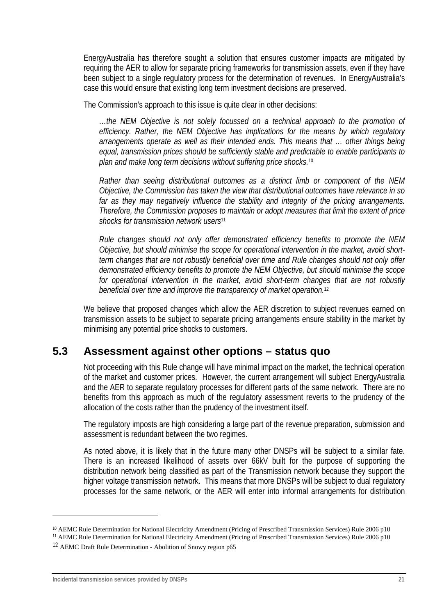EnergyAustralia has therefore sought a solution that ensures customer impacts are mitigated by requiring the AER to allow for separate pricing frameworks for transmission assets, even if they have been subject to a single regulatory process for the determination of revenues. In EnergyAustralia's case this would ensure that existing long term investment decisions are preserved.

The Commission's approach to this issue is quite clear in other decisions:

*…the NEM Objective is not solely focussed on a technical approach to the promotion of efficiency. Rather, the NEM Objective has implications for the means by which regulatory arrangements operate as well as their intended ends. This means that … other things being equal, transmission prices should be sufficiently stable and predictable to enable participants to plan and make long term decisions without suffering price shocks.*<sup>10</sup>

*Rather than seeing distributional outcomes as a distinct limb or component of the NEM Objective, the Commission has taken the view that distributional outcomes have relevance in so far as they may negatively influence the stability and integrity of the pricing arrangements. Therefore, the Commission proposes to maintain or adopt measures that limit the extent of price shocks for transmission network users*<sup>11</sup>

*Rule changes should not only offer demonstrated efficiency benefits to promote the NEM Objective, but should minimise the scope for operational intervention in the market, avoid shortterm changes that are not robustly beneficial over time and Rule changes should not only offer demonstrated efficiency benefits to promote the NEM Objective, but should minimise the scope for operational intervention in the market, avoid short-term changes that are not robustly beneficial over time and improve the transparency of market operation.*<sup>12</sup>

We believe that proposed changes which allow the AER discretion to subject revenues earned on transmission assets to be subject to separate pricing arrangements ensure stability in the market by minimising any potential price shocks to customers.

### **5.3 Assessment against other options – status quo**

Not proceeding with this Rule change will have minimal impact on the market, the technical operation of the market and customer prices. However, the current arrangement will subject EnergyAustralia and the AER to separate regulatory processes for different parts of the same network. There are no benefits from this approach as much of the regulatory assessment reverts to the prudency of the allocation of the costs rather than the prudency of the investment itself.

The regulatory imposts are high considering a large part of the revenue preparation, submission and assessment is redundant between the two regimes.

As noted above, it is likely that in the future many other DNSPs will be subject to a similar fate. There is an increased likelihood of assets over 66kV built for the purpose of supporting the distribution network being classified as part of the Transmission network because they support the higher voltage transmission network. This means that more DNSPs will be subject to dual regulatory processes for the same network, or the AER will enter into informal arrangements for distribution

<sup>11</sup> AEMC Rule Determination for National Electricity Amendment (Pricing of Prescribed Transmission Services) Rule 2006 p10

<sup>10</sup> AEMC Rule Determination for National Electricity Amendment (Pricing of Prescribed Transmission Services) Rule 2006 p10

<sup>12</sup> AEMC Draft Rule Determination - Abolition of Snowy region p65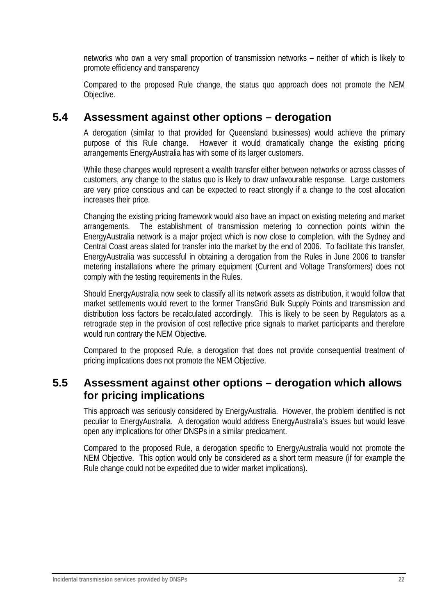networks who own a very small proportion of transmission networks – neither of which is likely to promote efficiency and transparency

Compared to the proposed Rule change, the status quo approach does not promote the NEM Objective.

### **5.4 Assessment against other options – derogation**

A derogation (similar to that provided for Queensland businesses) would achieve the primary purpose of this Rule change. However it would dramatically change the existing pricing arrangements EnergyAustralia has with some of its larger customers.

While these changes would represent a wealth transfer either between networks or across classes of customers, any change to the status quo is likely to draw unfavourable response. Large customers are very price conscious and can be expected to react strongly if a change to the cost allocation increases their price.

Changing the existing pricing framework would also have an impact on existing metering and market arrangements. The establishment of transmission metering to connection points within the EnergyAustralia network is a major project which is now close to completion, with the Sydney and Central Coast areas slated for transfer into the market by the end of 2006. To facilitate this transfer, EnergyAustralia was successful in obtaining a derogation from the Rules in June 2006 to transfer metering installations where the primary equipment (Current and Voltage Transformers) does not comply with the testing requirements in the Rules.

Should EnergyAustralia now seek to classify all its network assets as distribution, it would follow that market settlements would revert to the former TransGrid Bulk Supply Points and transmission and distribution loss factors be recalculated accordingly. This is likely to be seen by Regulators as a retrograde step in the provision of cost reflective price signals to market participants and therefore would run contrary the NEM Objective.

Compared to the proposed Rule, a derogation that does not provide consequential treatment of pricing implications does not promote the NEM Objective.

## **5.5 Assessment against other options – derogation which allows for pricing implications**

This approach was seriously considered by EnergyAustralia. However, the problem identified is not peculiar to EnergyAustralia. A derogation would address EnergyAustralia's issues but would leave open any implications for other DNSPs in a similar predicament.

Compared to the proposed Rule, a derogation specific to EnergyAustralia would not promote the NEM Objective. This option would only be considered as a short term measure (if for example the Rule change could not be expedited due to wider market implications).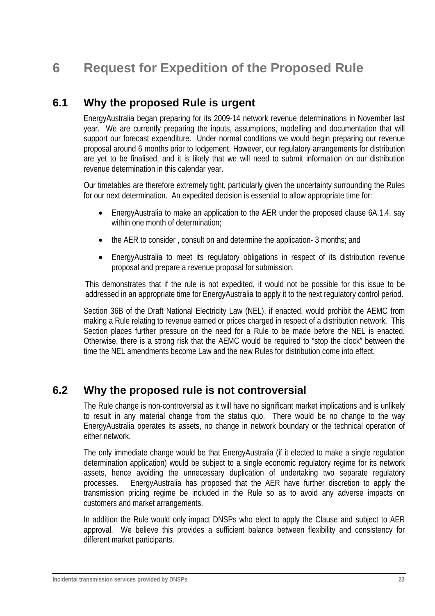## **6.1 Why the proposed Rule is urgent**

EnergyAustralia began preparing for its 2009-14 network revenue determinations in November last year. We are currently preparing the inputs, assumptions, modelling and documentation that will support our forecast expenditure. Under normal conditions we would begin preparing our revenue proposal around 6 months prior to lodgement. However, our regulatory arrangements for distribution are yet to be finalised, and it is likely that we will need to submit information on our distribution revenue determination in this calendar year.

Our timetables are therefore extremely tight, particularly given the uncertainty surrounding the Rules for our next determination. An expedited decision is essential to allow appropriate time for:

- EnergyAustralia to make an application to the AER under the proposed clause 6A.1.4, say within one month of determination;
- the AER to consider, consult on and determine the application-3 months; and
- EnergyAustralia to meet its regulatory obligations in respect of its distribution revenue proposal and prepare a revenue proposal for submission.

This demonstrates that if the rule is not expedited, it would not be possible for this issue to be addressed in an appropriate time for EnergyAustralia to apply it to the next regulatory control period.

Section 36B of the Draft National Electricity Law (NEL), if enacted, would prohibit the AEMC from making a Rule relating to revenue earned or prices charged in respect of a distribution network. This Section places further pressure on the need for a Rule to be made before the NEL is enacted. Otherwise, there is a strong risk that the AEMC would be required to "stop the clock" between the time the NEL amendments become Law and the new Rules for distribution come into effect.

## **6.2 Why the proposed rule is not controversial**

The Rule change is non-controversial as it will have no significant market implications and is unlikely to result in any material change from the status quo. There would be no change to the way EnergyAustralia operates its assets, no change in network boundary or the technical operation of either network.

The only immediate change would be that EnergyAustralia (if it elected to make a single regulation determination application) would be subject to a single economic regulatory regime for its network assets, hence avoiding the unnecessary duplication of undertaking two separate regulatory processes. EnergyAustralia has proposed that the AER have further discretion to apply the transmission pricing regime be included in the Rule so as to avoid any adverse impacts on customers and market arrangements.

In addition the Rule would only impact DNSPs who elect to apply the Clause and subject to AER approval. We believe this provides a sufficient balance between flexibility and consistency for different market participants.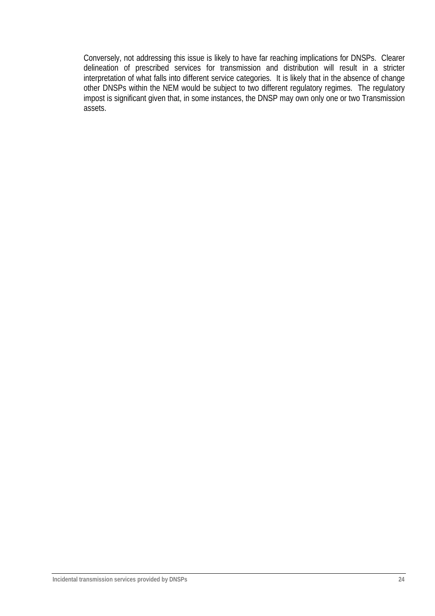Conversely, not addressing this issue is likely to have far reaching implications for DNSPs. Clearer delineation of prescribed services for transmission and distribution will result in a stricter interpretation of what falls into different service categories. It is likely that in the absence of change other DNSPs within the NEM would be subject to two different regulatory regimes. The regulatory impost is significant given that, in some instances, the DNSP may own only one or two Transmission assets.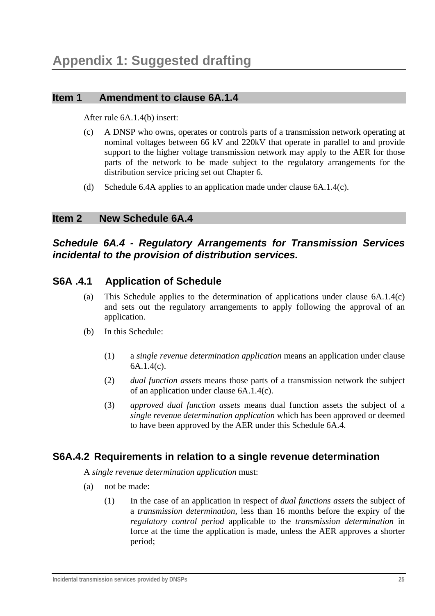#### **Item 1 Amendment to clause 6A.1.4**

After rule 6A.1.4(b) insert:

- (c) A DNSP who owns, operates or controls parts of a transmission network operating at nominal voltages between 66 kV and 220kV that operate in parallel to and provide support to the higher voltage transmission network may apply to the AER for those parts of the network to be made subject to the regulatory arrangements for the distribution service pricing set out Chapter 6.
- (d) Schedule 6.4A applies to an application made under clause 6A.1.4(c).

#### **Item 2 New Schedule 6A.4**

#### *Schedule 6A.4 - Regulatory Arrangements for Transmission Services incidental to the provision of distribution services.*

#### **S6A .4.1 Application of Schedule**

- (a) This Schedule applies to the determination of applications under clause 6A.1.4(c) and sets out the regulatory arrangements to apply following the approval of an application.
- (b) In this Schedule:
	- (1) a *single revenue determination application* means an application under clause 6A.1.4(c).
	- (2) *dual function assets* means those parts of a transmission network the subject of an application under clause 6A.1.4(c).
	- (3) *approved dual function assets* means dual function assets the subject of a *single revenue determination application* which has been approved or deemed to have been approved by the AER under this Schedule 6A.4.

#### **S6A.4.2 Requirements in relation to a single revenue determination**

A *single revenue determination application* must:

- (a) not be made:
	- (1) In the case of an application in respect of *dual functions assets* the subject of a *transmission determination*, less than 16 months before the expiry of the *regulatory control period* applicable to the *transmission determination* in force at the time the application is made, unless the AER approves a shorter period;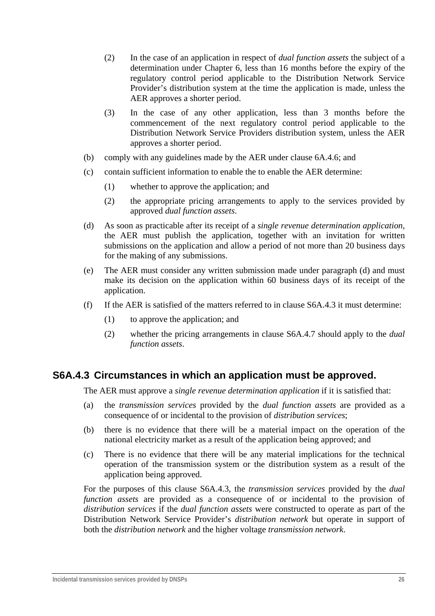- (2) In the case of an application in respect of *dual function assets* the subject of a determination under Chapter 6, less than 16 months before the expiry of the regulatory control period applicable to the Distribution Network Service Provider's distribution system at the time the application is made, unless the AER approves a shorter period.
- (3) In the case of any other application, less than 3 months before the commencement of the next regulatory control period applicable to the Distribution Network Service Providers distribution system, unless the AER approves a shorter period.
- (b) comply with any guidelines made by the AER under clause 6A.4.6; and
- (c) contain sufficient information to enable the to enable the AER determine:
	- (1) whether to approve the application; and
	- (2) the appropriate pricing arrangements to apply to the services provided by approved *dual function assets*.
- (d) As soon as practicable after its receipt of a *single revenue determination application*, the AER must publish the application, together with an invitation for written submissions on the application and allow a period of not more than 20 business days for the making of any submissions.
- (e) The AER must consider any written submission made under paragraph (d) and must make its decision on the application within 60 business days of its receipt of the application.
- (f) If the AER is satisfied of the matters referred to in clause S6A.4.3 it must determine:
	- (1) to approve the application; and
	- (2) whether the pricing arrangements in clause S6A.4.7 should apply to the *dual function assets*.

#### **S6A.4.3 Circumstances in which an application must be approved.**

The AER must approve a *single revenue determination application* if it is satisfied that:

- (a) the *transmission services* provided by the *dual function assets* are provided as a consequence of or incidental to the provision of *distribution services*;
- (b) there is no evidence that there will be a material impact on the operation of the national electricity market as a result of the application being approved; and
- (c) There is no evidence that there will be any material implications for the technical operation of the transmission system or the distribution system as a result of the application being approved.

For the purposes of this clause S6A.4.3, the *transmission services* provided by the *dual function assets* are provided as a consequence of or incidental to the provision of *distribution services* if the *dual function assets* were constructed to operate as part of the Distribution Network Service Provider's *distribution network* but operate in support of both the *distribution network* and the higher voltage *transmission network*.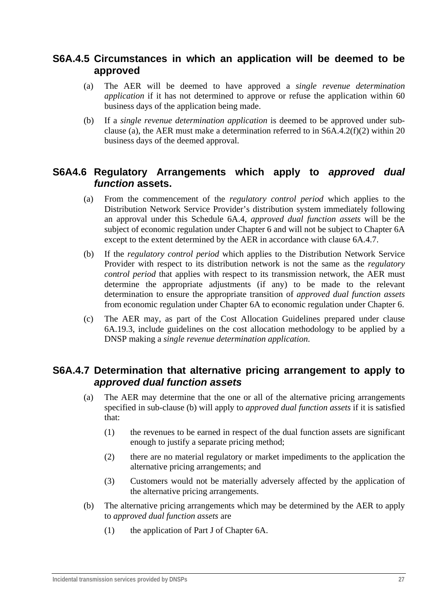#### **S6A.4.5 Circumstances in which an application will be deemed to be approved**

- (a) The AER will be deemed to have approved a *single revenue determination application* if it has not determined to approve or refuse the application within 60 business days of the application being made.
- (b) If a *single revenue determination application* is deemed to be approved under subclause (a), the AER must make a determination referred to in S6A.4.2(f)(2) within 20 business days of the deemed approval.

#### **S6A4.6 Regulatory Arrangements which apply to** *approved dual function* **assets.**

- (a) From the commencement of the *regulatory control period* which applies to the Distribution Network Service Provider's distribution system immediately following an approval under this Schedule 6A.4, *approved dual function assets* will be the subject of economic regulation under Chapter 6 and will not be subject to Chapter 6A except to the extent determined by the AER in accordance with clause 6A.4.7.
- (b) If the *regulatory control period* which applies to the Distribution Network Service Provider with respect to its distribution network is not the same as the *regulatory control period* that applies with respect to its transmission network, the AER must determine the appropriate adjustments (if any) to be made to the relevant determination to ensure the appropriate transition of *approved dual function assets* from economic regulation under Chapter 6A to economic regulation under Chapter 6.
- (c) The AER may, as part of the Cost Allocation Guidelines prepared under clause 6A.19.3, include guidelines on the cost allocation methodology to be applied by a DNSP making a *single revenue determination application*.

#### **S6A.4.7 Determination that alternative pricing arrangement to apply to**  *approved dual function assets*

- (a) The AER may determine that the one or all of the alternative pricing arrangements specified in sub-clause (b) will apply to *approved dual function assets* if it is satisfied that:
	- (1) the revenues to be earned in respect of the dual function assets are significant enough to justify a separate pricing method;
	- (2) there are no material regulatory or market impediments to the application the alternative pricing arrangements; and
	- (3) Customers would not be materially adversely affected by the application of the alternative pricing arrangements.
- (b) The alternative pricing arrangements which may be determined by the AER to apply to *approved dual function assets* are
	- (1) the application of Part J of Chapter 6A.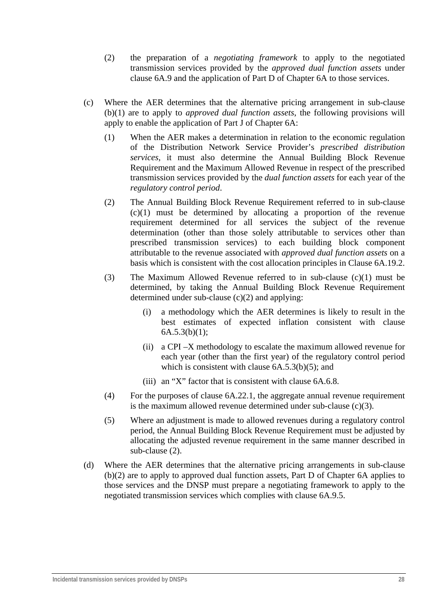- (2) the preparation of a *negotiating framework* to apply to the negotiated transmission services provided by the *approved dual function assets* under clause 6A.9 and the application of Part D of Chapter 6A to those services.
- (c) Where the AER determines that the alternative pricing arrangement in sub-clause (b)(1) are to apply to *approved dual function assets*, the following provisions will apply to enable the application of Part J of Chapter 6A:
	- (1) When the AER makes a determination in relation to the economic regulation of the Distribution Network Service Provider's *prescribed distribution services,* it must also determine the Annual Building Block Revenue Requirement and the Maximum Allowed Revenue in respect of the prescribed transmission services provided by the *dual function assets* for each year of the *regulatory control period*.
	- (2) The Annual Building Block Revenue Requirement referred to in sub-clause (c)(1) must be determined by allocating a proportion of the revenue requirement determined for all services the subject of the revenue determination (other than those solely attributable to services other than prescribed transmission services) to each building block component attributable to the revenue associated with *approved dual function assets* on a basis which is consistent with the cost allocation principles in Clause 6A.19.2.
	- (3) The Maximum Allowed Revenue referred to in sub-clause (c)(1) must be determined, by taking the Annual Building Block Revenue Requirement determined under sub-clause (c)(2) and applying:
		- (i) a methodology which the AER determines is likely to result in the best estimates of expected inflation consistent with clause  $6A.5.3(b)(1);$
		- (ii) a CPI –X methodology to escalate the maximum allowed revenue for each year (other than the first year) of the regulatory control period which is consistent with clause  $6A.5.3(b)(5)$ ; and
		- (iii) an "X" factor that is consistent with clause 6A.6.8.
	- (4) For the purposes of clause 6A.22.1, the aggregate annual revenue requirement is the maximum allowed revenue determined under sub-clause (c)(3).
	- (5) Where an adjustment is made to allowed revenues during a regulatory control period, the Annual Building Block Revenue Requirement must be adjusted by allocating the adjusted revenue requirement in the same manner described in sub-clause (2).
- (d) Where the AER determines that the alternative pricing arrangements in sub-clause (b)(2) are to apply to approved dual function assets, Part D of Chapter 6A applies to those services and the DNSP must prepare a negotiating framework to apply to the negotiated transmission services which complies with clause 6A.9.5.